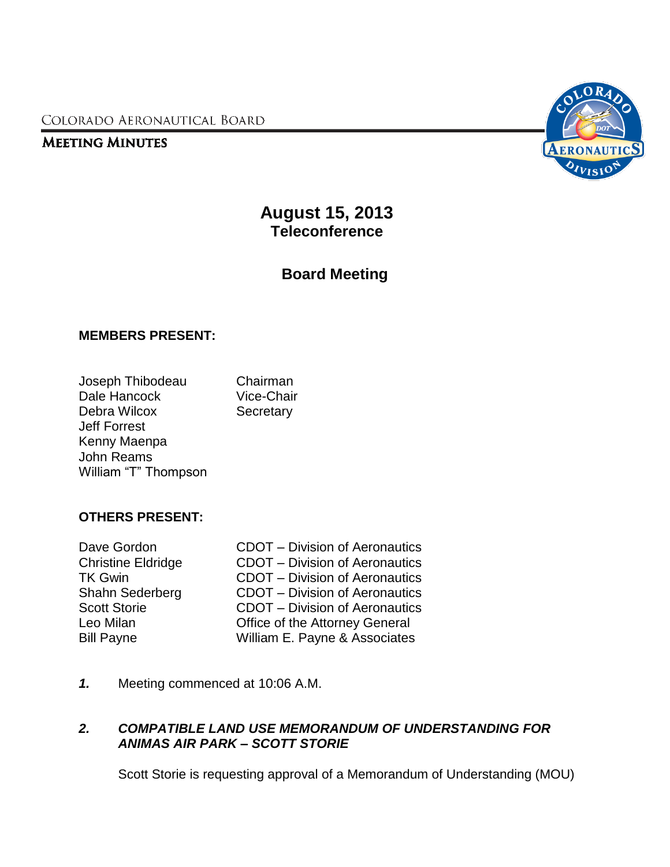COLORADO AERONAUTICAL BOARD

## **MEETING MINUTES**



**August 15, 2013 Teleconference**

**Board Meeting**

## **MEMBERS PRESENT:**

| Joseph Thibodeau     | Chairman          |
|----------------------|-------------------|
| Dale Hancock         | <b>Vice-Chair</b> |
| Debra Wilcox         | Secretary         |
| <b>Jeff Forrest</b>  |                   |
| Kenny Maenpa         |                   |
| <b>John Reams</b>    |                   |
| William "T" Thompson |                   |

## **OTHERS PRESENT:**

| Dave Gordon               | <b>CDOT</b> - Division of Aeronautics |
|---------------------------|---------------------------------------|
| <b>Christine Eldridge</b> | <b>CDOT</b> - Division of Aeronautics |
| TK Gwin                   | <b>CDOT</b> – Division of Aeronautics |
| Shahn Sederberg           | <b>CDOT</b> – Division of Aeronautics |
| <b>Scott Storie</b>       | <b>CDOT</b> – Division of Aeronautics |
| Leo Milan                 | Office of the Attorney General        |
| <b>Bill Payne</b>         | William E. Payne & Associates         |
|                           |                                       |

*1.* Meeting commenced at 10:06 A.M.

## *2. COMPATIBLE LAND USE MEMORANDUM OF UNDERSTANDING FOR ANIMAS AIR PARK – SCOTT STORIE*

Scott Storie is requesting approval of a Memorandum of Understanding (MOU)